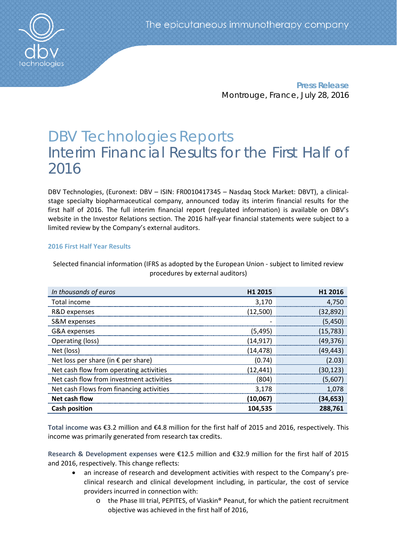**Press Release** Montrouge, France, July 28, 2016

# DBV Technologies Reports Interim Financial Results for the First Half of 2016

DBV Technologies, (Euronext: DBV – ISIN: FR0010417345 – Nasdaq Stock Market: DBVT), a clinicalstage specialty biopharmaceutical company, announced today its interim financial results for the first half of 2016. The full interim financial report (regulated information) is available on DBV's website in the Investor Relations section. The 2016 half-year financial statements were subject to a limited review by the Company's external auditors.

# **2016 First Half Year Results**

| In thousands of euros                        | H1 2015   | H1 2016   |
|----------------------------------------------|-----------|-----------|
| Total income                                 | 3,170     | 4,750     |
| R&D expenses                                 | (12,500)  | (32, 892) |
| S&M expenses                                 |           | (5,450)   |
| G&A expenses                                 | (5, 495)  | (15, 783) |
| Operating (loss)                             | (14, 917) | (49, 376) |
| Net (loss)                                   | (14, 478) | (49, 443) |
| Net loss per share (in $\epsilon$ per share) | (0.74)    | (2.03)    |
| Net cash flow from operating activities      | (12, 441) | (30, 123) |
| Net cash flow from investment activities     | (804)     | (5,607)   |
| Net cash Flows from financing activities     | 3,178     | 1,078     |
| Net cash flow                                | (10,067)  | (34, 653) |
| <b>Cash position</b>                         | 104,535   | 288,761   |

Selected financial information (IFRS as adopted by the European Union - subject to limited review procedures by external auditors)

**Total income** was €3.2 million and €4.8 million for the first half of 2015 and 2016, respectively. This income was primarily generated from research tax credits.

**Research & Development expenses** were €12.5 million and €32.9 million for the first half of 2015 and 2016, respectively. This change reflects:

- an increase of research and development activities with respect to the Company's preclinical research and clinical development including, in particular, the cost of service providers incurred in connection with:
	- o the Phase III trial, PEPITES, of Viaskin® Peanut, for which the patient recruitment objective was achieved in the first half of 2016,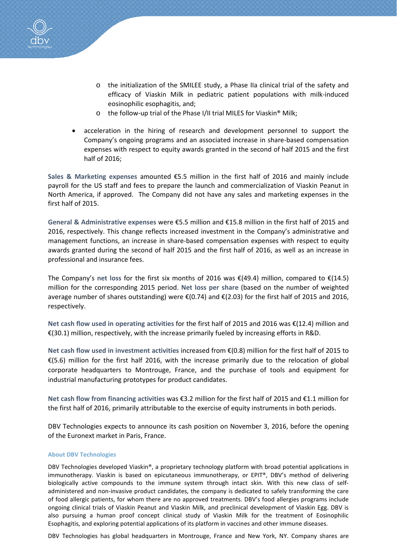

- o the initialization of the SMILEE study, a Phase IIa clinical trial of the safety and efficacy of Viaskin Milk in pediatric patient populations with milk-induced eosinophilic esophagitis, and;
- o the follow-up trial of the Phase I/II trial MILES for Viaskin® Milk;
- acceleration in the hiring of research and development personnel to support the Company's ongoing programs and an associated increase in share-based compensation expenses with respect to equity awards granted in the second of half 2015 and the first half of 2016;

**Sales & Marketing expenses** amounted €5.5 million in the first half of 2016 and mainly include payroll for the US staff and fees to prepare the launch and commercialization of Viaskin Peanut in North America, if approved. The Company did not have any sales and marketing expenses in the first half of 2015.

**General & Administrative expenses** were €5.5 million and €15.8 million in the first half of 2015 and 2016, respectively. This change reflects increased investment in the Company's administrative and management functions, an increase in share-based compensation expenses with respect to equity awards granted during the second of half 2015 and the first half of 2016, as well as an increase in professional and insurance fees.

The Company's **net loss** for the first six months of 2016 was €(49.4) million, compared to €(14.5) million for the corresponding 2015 period. **Net loss per share** (based on the number of weighted average number of shares outstanding) were €(0.74) and €(2.03) for the first half of 2015 and 2016, respectively.

**Net cash flow used in operating activities** for the first half of 2015 and 2016 was €(12.4) million and €(30.1) million, respectively, with the increase primarily fueled by increasing efforts in R&D.

**Net cash flow used in investment activities** increased from €(0.8) million for the first half of 2015 to €(5.6) million for the first half 2016, with the increase primarily due to the relocation of global corporate headquarters to Montrouge, France, and the purchase of tools and equipment for industrial manufacturing prototypes for product candidates.

**Net cash flow from financing activities** was €3.2 million for the first half of 2015 and €1.1 million for the first half of 2016, primarily attributable to the exercise of equity instruments in both periods.

DBV Technologies expects to announce its cash position on November 3, 2016, before the opening of the Euronext market in Paris, France.

## **About DBV Technologies**

DBV Technologies developed Viaskin®, a proprietary technology platform with broad potential applications in immunotherapy. Viaskin is based on epicutaneous immunotherapy, or EPIT®, DBV's method of delivering biologically active compounds to the immune system through intact skin. With this new class of selfadministered and non-invasive product candidates, the company is dedicated to safely transforming the care of food allergic patients, for whom there are no approved treatments. DBV's food allergies programs include ongoing clinical trials of Viaskin Peanut and Viaskin Milk, and preclinical development of Viaskin Egg. DBV is also pursuing a human proof concept clinical study of Viaskin Milk for the treatment of Eosinophilic Esophagitis, and exploring potential applications of its platform in vaccines and other immune diseases.

DBV Technologies has global headquarters in Montrouge, France and New York, NY. Company shares are